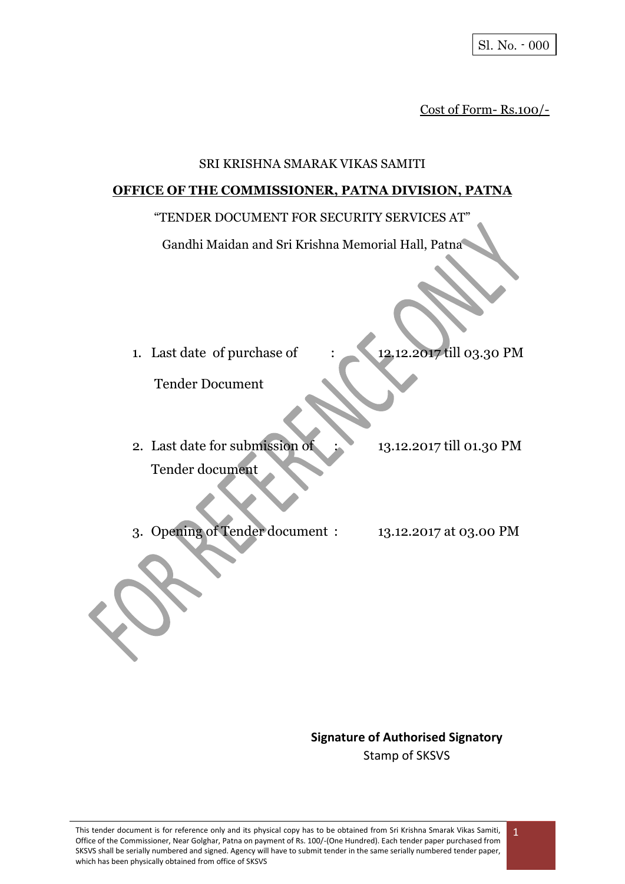Cost of Form- Rs.100/-

#### SRI KRISHNA SMARAK VIKAS SAMITI

#### **OFFICE OF THE COMMISSIONER, PATNA DIVISION, PATNA**

#### "TENDER DOCUMENT FOR SECURITY SERVICES AT"

Gandhi Maidan and Sri Krishna Memorial Hall, Patna

1. Last date of purchase of : 12.12.2017 till 03.30 PM

Tender Document

- 2. Last date for submission of : 13.12.2017 till 01.30 PM Tender document
- 3. Opening of Tender document : 13.12.2017 at 03.00 PM

**Signature of Authorised Signatory** Stamp of SKSVS

1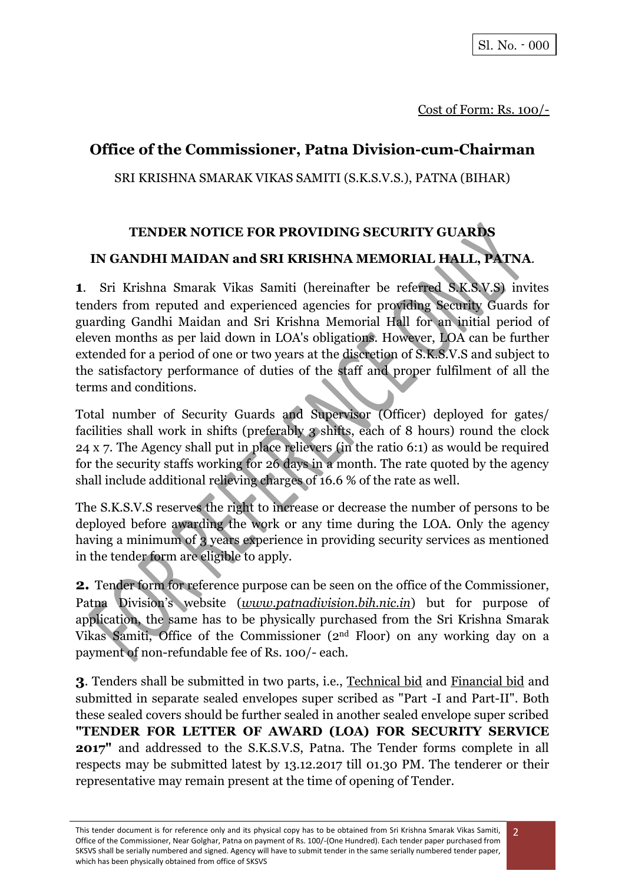# **Office of the Commissioner, Patna Division-cum-Chairman**

SRI KRISHNA SMARAK VIKAS SAMITI (S.K.S.V.S.), PATNA (BIHAR)

# **TENDER NOTICE FOR PROVIDING SECURITY GUARDS IN GANDHI MAIDAN and SRI KRISHNA MEMORIAL HALL, PATNA**.

**1**. Sri Krishna Smarak Vikas Samiti (hereinafter be referred S.K.S.V.S) invites tenders from reputed and experienced agencies for providing Security Guards for guarding Gandhi Maidan and Sri Krishna Memorial Hall for an initial period of eleven months as per laid down in LOA's obligations. However, LOA can be further extended for a period of one or two years at the discretion of S.K.S.V.S and subject to the satisfactory performance of duties of the staff and proper fulfilment of all the terms and conditions.

Total number of Security Guards and Supervisor (Officer) deployed for gates/ facilities shall work in shifts (preferably 3 shifts, each of 8 hours) round the clock 24 x 7. The Agency shall put in place relievers (in the ratio 6:1) as would be required for the security staffs working for 26 days in a month. The rate quoted by the agency shall include additional relieving charges of 16.6 % of the rate as well.

The S.K.S.V.S reserves the right to increase or decrease the number of persons to be deployed before awarding the work or any time during the LOA. Only the agency having a minimum of 3 years experience in providing security services as mentioned in the tender form are eligible to apply.

**2.** Tender form for reference purpose can be seen on the office of the Commissioner, Patna Division's website (*www.patnadivision.bih.nic.in*) but for purpose of application, the same has to be physically purchased from the Sri Krishna Smarak Vikas Samiti, Office of the Commissioner (2nd Floor) on any working day on a payment of non-refundable fee of Rs. 100/- each.

**3**. Tenders shall be submitted in two parts, i.e., Technical bid and Financial bid and submitted in separate sealed envelopes super scribed as "Part -I and Part-II". Both these sealed covers should be further sealed in another sealed envelope super scribed **"TENDER FOR LETTER OF AWARD (LOA) FOR SECURITY SERVICE 2017"** and addressed to the S.K.S.V.S, Patna. The Tender forms complete in all respects may be submitted latest by 13.12.2017 till 01.30 PM. The tenderer or their representative may remain present at the time of opening of Tender.

This tender document is for reference only and its physical copy has to be obtained from Sri Krishna Smarak Vikas Samiti, Office of the Commissioner, Near Golghar, Patna on payment of Rs. 100/-(One Hundred). Each tender paper purchased from SKSVS shall be serially numbered and signed. Agency will have to submit tender in the same serially numbered tender paper, which has been physically obtained from office of SKSVS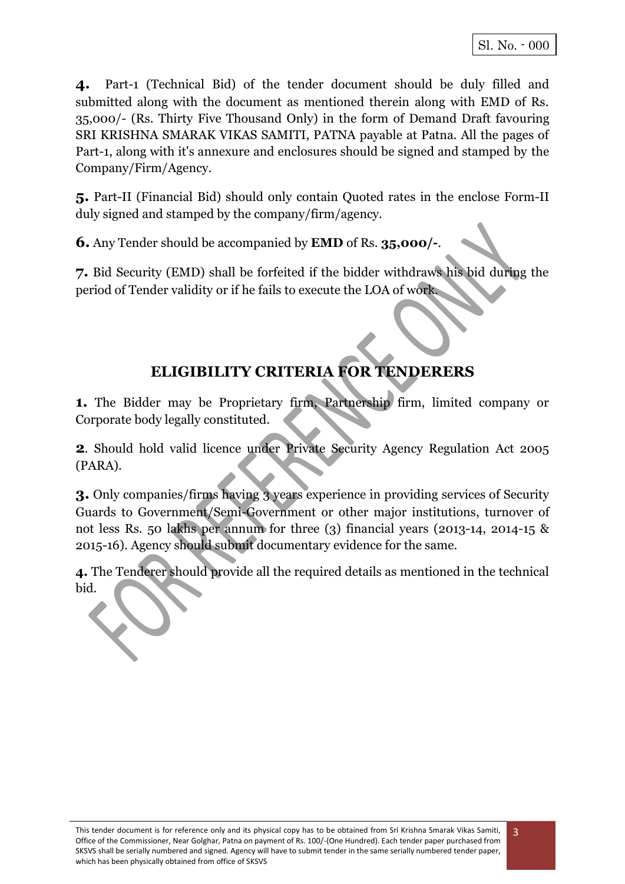**4.** Part-1 (Technical Bid) of the tender document should be duly filled and submitted along with the document as mentioned therein along with EMD of Rs. 35,000/- (Rs. Thirty Five Thousand Only) in the form of Demand Draft favouring SRI KRISHNA SMARAK VIKAS SAMITI, PATNA payable at Patna. All the pages of Part-1, along with it's annexure and enclosures should be signed and stamped by the Company/Firm/Agency.

**5.** Part-II (Financial Bid) should only contain Quoted rates in the enclose Form-II duly signed and stamped by the company/firm/agency.

**6.** Any Tender should be accompanied by **EMD** of Rs. **35,000/-**.

**7.** Bid Security (EMD) shall be forfeited if the bidder withdraws his bid during the period of Tender validity or if he fails to execute the LOA of work.

# **ELIGIBILITY CRITERIA FOR TENDERERS**

**1.** The Bidder may be Proprietary firm, Partnership firm, limited company or Corporate body legally constituted.

**2**. Should hold valid licence under Private Security Agency Regulation Act 2005 (PARA).

**3.** Only companies/firms having 3 years experience in providing services of Security Guards to Government/Semi-Government or other major institutions, turnover of not less Rs. 50 lakhs per annum for three (3) financial years (2013-14, 2014-15 & 2015-16). Agency should submit documentary evidence for the same.

**4.** The Tenderer should provide all the required details as mentioned in the technical bid.

3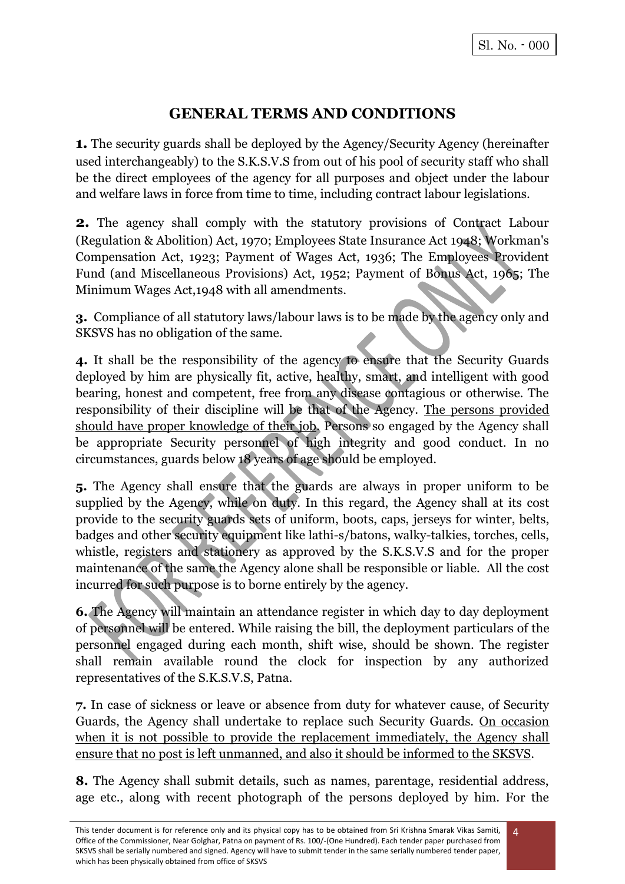# **GENERAL TERMS AND CONDITIONS**

**1.** The security guards shall be deployed by the Agency/Security Agency (hereinafter used interchangeably) to the S.K.S.V.S from out of his pool of security staff who shall be the direct employees of the agency for all purposes and object under the labour and welfare laws in force from time to time, including contract labour legislations.

**2.** The agency shall comply with the statutory provisions of Contract Labour (Regulation & Abolition) Act, 1970; Employees State Insurance Act 1948; Workman's Compensation Act, 1923; Payment of Wages Act, 1936; The Employees Provident Fund (and Miscellaneous Provisions) Act, 1952; Payment of Bonus Act, 1965; The Minimum Wages Act,1948 with all amendments.

**3.** Compliance of all statutory laws/labour laws is to be made by the agency only and SKSVS has no obligation of the same.

**4.** It shall be the responsibility of the agency to ensure that the Security Guards deployed by him are physically fit, active, healthy, smart, and intelligent with good bearing, honest and competent, free from any disease contagious or otherwise. The responsibility of their discipline will be that of the Agency. The persons provided should have proper knowledge of their job. Persons so engaged by the Agency shall be appropriate Security personnel of high integrity and good conduct. In no circumstances, guards below 18 years of age should be employed.

**5.** The Agency shall ensure that the guards are always in proper uniform to be supplied by the Agency, while on duty. In this regard, the Agency shall at its cost provide to the security guards sets of uniform, boots, caps, jerseys for winter, belts, badges and other security equipment like lathi-s/batons, walky-talkies, torches, cells, whistle, registers and stationery as approved by the S.K.S.V.S and for the proper maintenance of the same the Agency alone shall be responsible or liable. All the cost incurred for such purpose is to borne entirely by the agency.

**6.** The Agency will maintain an attendance register in which day to day deployment of personnel will be entered. While raising the bill, the deployment particulars of the personnel engaged during each month, shift wise, should be shown. The register shall remain available round the clock for inspection by any authorized representatives of the S.K.S.V.S, Patna.

**7.** In case of sickness or leave or absence from duty for whatever cause, of Security Guards, the Agency shall undertake to replace such Security Guards. On occasion when it is not possible to provide the replacement immediately, the Agency shall ensure that no post is left unmanned, and also it should be informed to the SKSVS.

**8.** The Agency shall submit details, such as names, parentage, residential address, age etc., along with recent photograph of the persons deployed by him. For the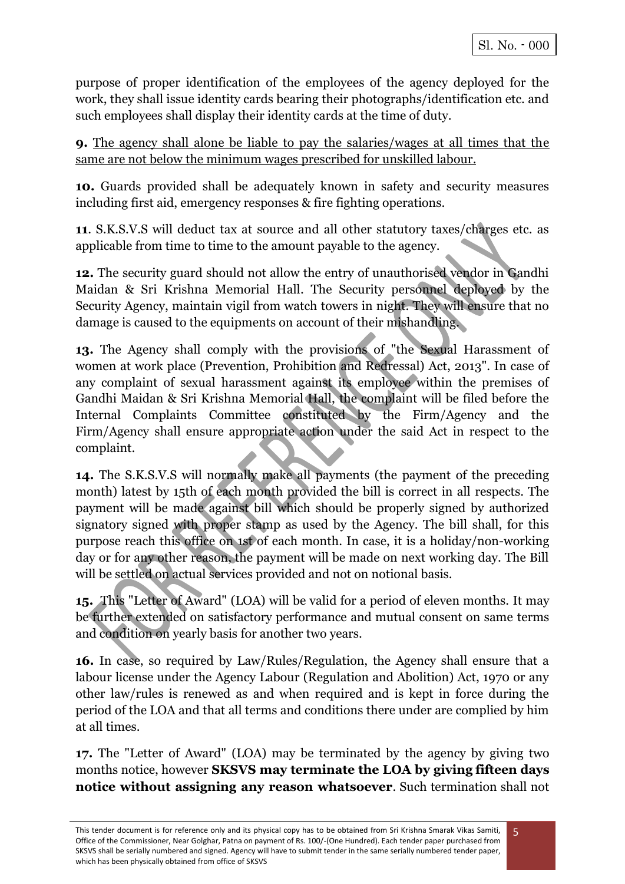purpose of proper identification of the employees of the agency deployed for the work, they shall issue identity cards bearing their photographs/identification etc. and such employees shall display their identity cards at the time of duty.

**9.** The agency shall alone be liable to pay the salaries/wages at all times that the same are not below the minimum wages prescribed for unskilled labour.

**10.** Guards provided shall be adequately known in safety and security measures including first aid, emergency responses & fire fighting operations.

**11**. S.K.S.V.S will deduct tax at source and all other statutory taxes/charges etc. as applicable from time to time to the amount payable to the agency.

**12.** The security guard should not allow the entry of unauthorised vendor in Gandhi Maidan & Sri Krishna Memorial Hall. The Security personnel deployed by the Security Agency, maintain vigil from watch towers in night. They will ensure that no damage is caused to the equipments on account of their mishandling.

**13.** The Agency shall comply with the provisions of "the Sexual Harassment of women at work place (Prevention, Prohibition and Redressal) Act, 2013". In case of any complaint of sexual harassment against its employee within the premises of Gandhi Maidan & Sri Krishna Memorial Hall, the complaint will be filed before the Internal Complaints Committee constituted by the Firm/Agency and the Firm/Agency shall ensure appropriate action under the said Act in respect to the complaint.

**14.** The S.K.S.V.S will normally make all payments (the payment of the preceding month) latest by 15th of each month provided the bill is correct in all respects. The payment will be made against bill which should be properly signed by authorized signatory signed with proper stamp as used by the Agency. The bill shall, for this purpose reach this office on 1st of each month. In case, it is a holiday/non-working day or for any other reason, the payment will be made on next working day. The Bill will be settled on actual services provided and not on notional basis.

**15.** This "Letter of Award" (LOA) will be valid for a period of eleven months. It may be further extended on satisfactory performance and mutual consent on same terms and condition on yearly basis for another two years.

**16.** In case, so required by Law/Rules/Regulation, the Agency shall ensure that a labour license under the Agency Labour (Regulation and Abolition) Act, 1970 or any other law/rules is renewed as and when required and is kept in force during the period of the LOA and that all terms and conditions there under are complied by him at all times.

**17.** The "Letter of Award" (LOA) may be terminated by the agency by giving two months notice, however **SKSVS may terminate the LOA by giving fifteen days notice without assigning any reason whatsoever**. Such termination shall not

5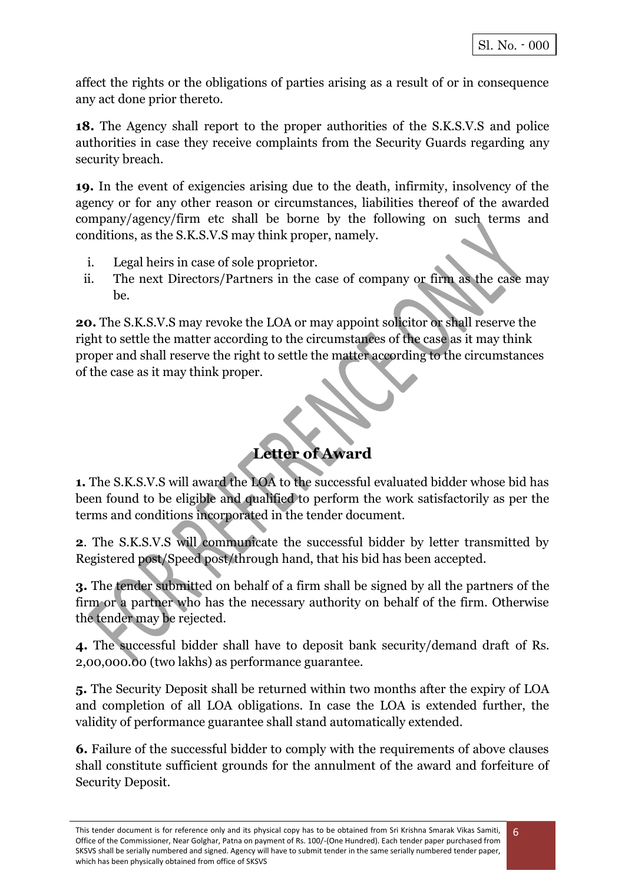6

affect the rights or the obligations of parties arising as a result of or in consequence any act done prior thereto.

**18.** The Agency shall report to the proper authorities of the S.K.S.V.S and police authorities in case they receive complaints from the Security Guards regarding any security breach.

**19.** In the event of exigencies arising due to the death, infirmity, insolvency of the agency or for any other reason or circumstances, liabilities thereof of the awarded company/agency/firm etc shall be borne by the following on such terms and conditions, as the S.K.S.V.S may think proper, namely.

- i. Legal heirs in case of sole proprietor.
- ii. The next Directors/Partners in the case of company or firm as the case may be.

**20.** The S.K.S.V.S may revoke the LOA or may appoint solicitor or shall reserve the right to settle the matter according to the circumstances of the case as it may think proper and shall reserve the right to settle the matter according to the circumstances of the case as it may think proper.

**Letter of Award**

**1.** The S.K.S.V.S will award the LOA to the successful evaluated bidder whose bid has been found to be eligible and qualified to perform the work satisfactorily as per the terms and conditions incorporated in the tender document.

**2**. The S.K.S.V.S will communicate the successful bidder by letter transmitted by Registered post/Speed post/through hand, that his bid has been accepted.

**3.** The tender submitted on behalf of a firm shall be signed by all the partners of the firm or a partner who has the necessary authority on behalf of the firm. Otherwise the tender may be rejected.

**4.** The successful bidder shall have to deposit bank security/demand draft of Rs. 2,00,000.00 (two lakhs) as performance guarantee.

**5.** The Security Deposit shall be returned within two months after the expiry of LOA and completion of all LOA obligations. In case the LOA is extended further, the validity of performance guarantee shall stand automatically extended.

**6.** Failure of the successful bidder to comply with the requirements of above clauses shall constitute sufficient grounds for the annulment of the award and forfeiture of Security Deposit.

This tender document is for reference only and its physical copy has to be obtained from Sri Krishna Smarak Vikas Samiti, Office of the Commissioner, Near Golghar, Patna on payment of Rs. 100/-(One Hundred). Each tender paper purchased from SKSVS shall be serially numbered and signed. Agency will have to submit tender in the same serially numbered tender paper, which has been physically obtained from office of SKSVS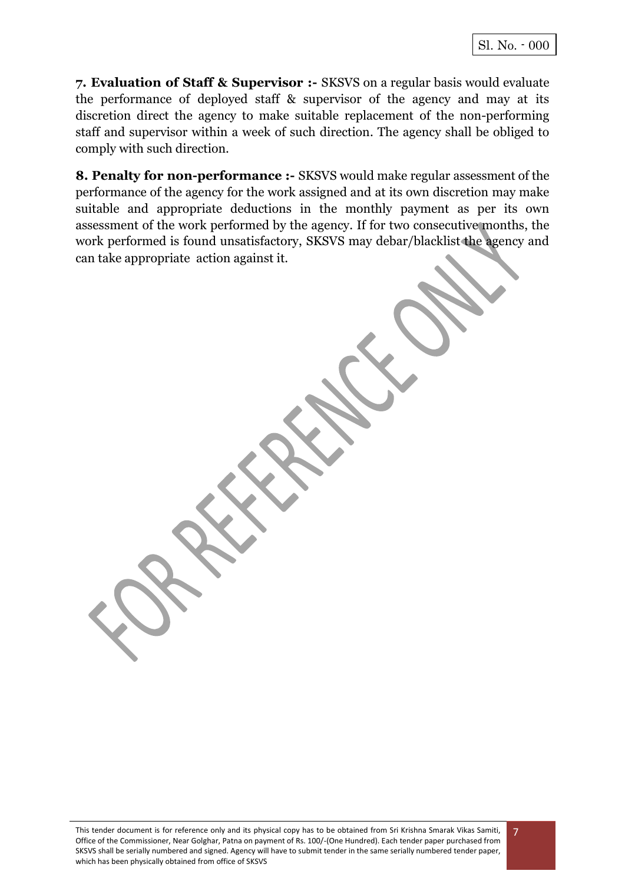**7. Evaluation of Staff & Supervisor :-** SKSVS on a regular basis would evaluate the performance of deployed staff & supervisor of the agency and may at its discretion direct the agency to make suitable replacement of the non-performing staff and supervisor within a week of such direction. The agency shall be obliged to comply with such direction.

**8. Penalty for non-performance :-** SKSVS would make regular assessment of the performance of the agency for the work assigned and at its own discretion may make suitable and appropriate deductions in the monthly payment as per its own assessment of the work performed by the agency. If for two consecutive months, the work performed is found unsatisfactory, SKSVS may debar/blacklist the agency and can take appropriate action against it.

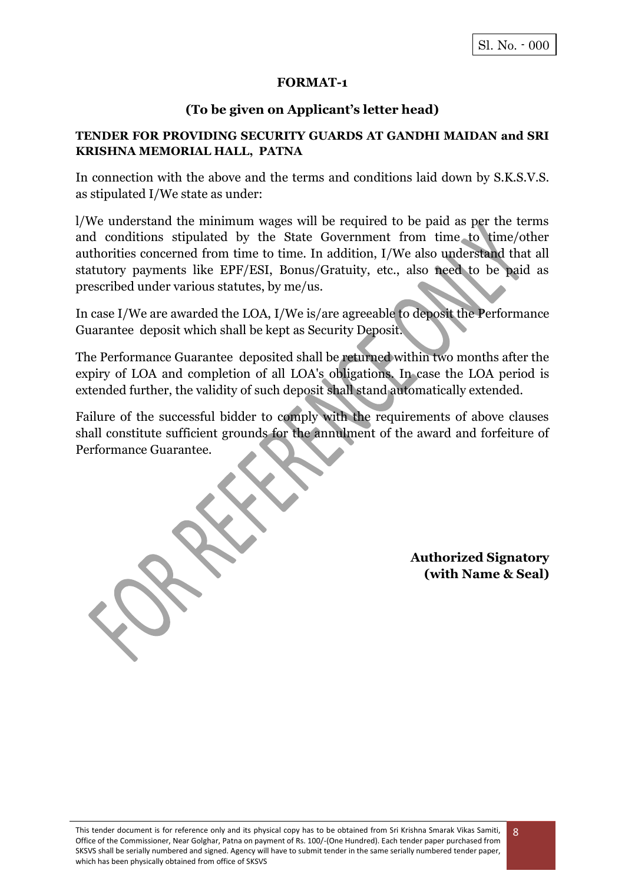#### **FORMAT-1**

### **(To be given on Applicant's letter head)**

#### **TENDER FOR PROVIDING SECURITY GUARDS AT GANDHI MAIDAN and SRI KRISHNA MEMORIAL HALL, PATNA**

In connection with the above and the terms and conditions laid down by S.K.S.V.S. as stipulated I/We state as under:

l/We understand the minimum wages will be required to be paid as per the terms and conditions stipulated by the State Government from time to time/other authorities concerned from time to time. In addition, I/We also understand that all statutory payments like EPF/ESI, Bonus/Gratuity, etc., also need to be paid as prescribed under various statutes, by me/us.

In case I/We are awarded the LOA, I/We is/are agreeable to deposit the Performance Guarantee deposit which shall be kept as Security Deposit.

The Performance Guarantee deposited shall be returned within two months after the expiry of LOA and completion of all LOA's obligations. In case the LOA period is extended further, the validity of such deposit shall stand automatically extended.

Failure of the successful bidder to comply with the requirements of above clauses shall constitute sufficient grounds for the annulment of the award and forfeiture of Performance Guarantee.

> **Authorized Signatory (with Name & Seal)**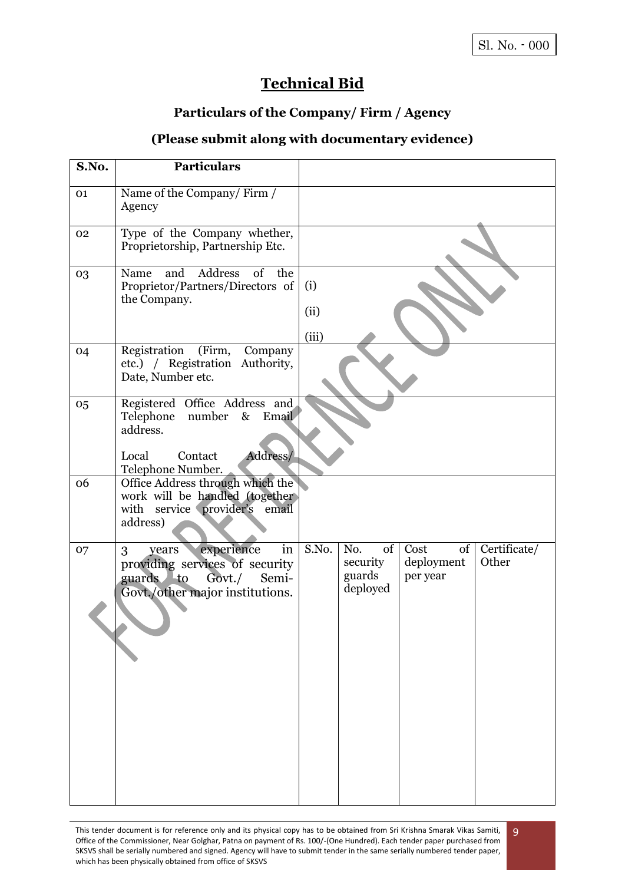9

# **Technical Bid**

## **Particulars of the Company/ Firm / Agency**

## **(Please submit along with documentary evidence)**

| S.No. | <b>Particulars</b>                                                                                                                     |                      |                                             |                                      |                       |
|-------|----------------------------------------------------------------------------------------------------------------------------------------|----------------------|---------------------------------------------|--------------------------------------|-----------------------|
| 01    | Name of the Company/Firm /<br>Agency                                                                                                   |                      |                                             |                                      |                       |
| 02    | Type of the Company whether,<br>Proprietorship, Partnership Etc.                                                                       |                      |                                             |                                      |                       |
| 03    | Address<br>of<br>and<br>the<br>Name<br>Proprietor/Partners/Directors of<br>the Company.                                                | (i)<br>(ii)<br>(iii) |                                             |                                      |                       |
| 04    | Registration<br>(Firm,<br>Company<br>etc.) / Registration Authority,<br>Date, Number etc.                                              |                      |                                             |                                      |                       |
| 05    | Registered Office Address and<br>number<br>$\&$<br>Telephone<br>Email<br>address.<br>Address/<br>Contact<br>Local<br>Telephone Number. |                      |                                             |                                      |                       |
| 06    | Office Address through which the<br>work will be handled (together)<br>service provider's<br>with<br>email<br>address)                 |                      |                                             |                                      |                       |
| 07    | experience<br>in<br>3<br>years<br>providing services of security<br>guards to<br>Semi-<br>Govt./<br>Govt./other major institutions.    | S.No.                | of<br>No.<br>security<br>guards<br>deployed | Cost<br>of<br>deployment<br>per year | Certificate/<br>Other |

This tender document is for reference only and its physical copy has to be obtained from Sri Krishna Smarak Vikas Samiti, Office of the Commissioner, Near Golghar, Patna on payment of Rs. 100/-(One Hundred). Each tender paper purchased from SKSVS shall be serially numbered and signed. Agency will have to submit tender in the same serially numbered tender paper, which has been physically obtained from office of SKSVS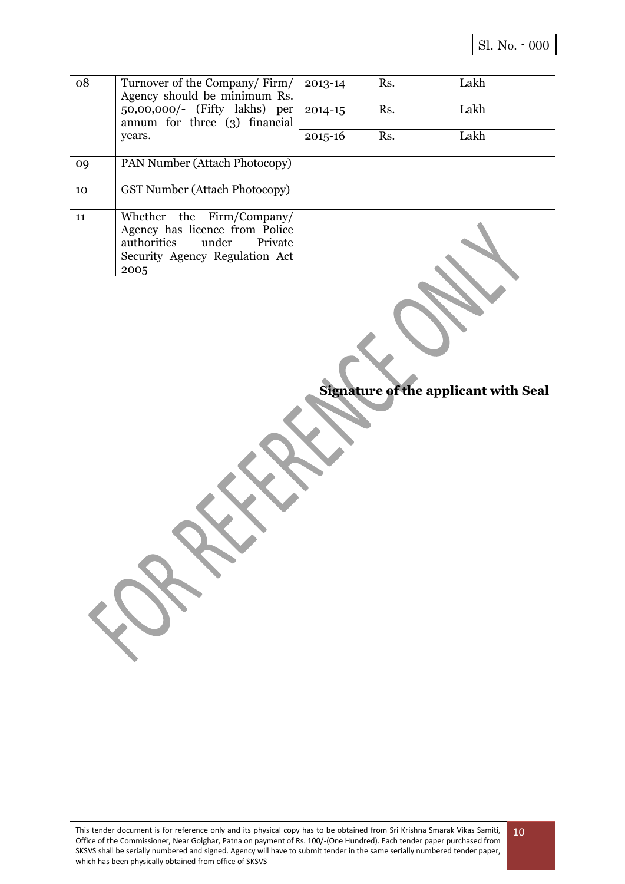| 08 | Turnover of the Company/Firm/<br>Agency should be minimum Rs.                                                                         | 2013-14     | Rs. | Lakh |
|----|---------------------------------------------------------------------------------------------------------------------------------------|-------------|-----|------|
|    | 50,00,000/- (Fifty lakhs) per<br>annum for three (3) financial                                                                        | $2014 - 15$ | Rs. | Lakh |
|    | years.                                                                                                                                | $2015 - 16$ | Rs. | Lakh |
| 09 | PAN Number (Attach Photocopy)                                                                                                         |             |     |      |
| 10 | <b>GST Number (Attach Photocopy)</b>                                                                                                  |             |     |      |
| 11 | Whether the Firm/Company/<br>Agency has licence from Police<br>authorities under<br>Private<br>Security Agency Regulation Act<br>2005 |             |     |      |

**Signature of the applicant with Seal**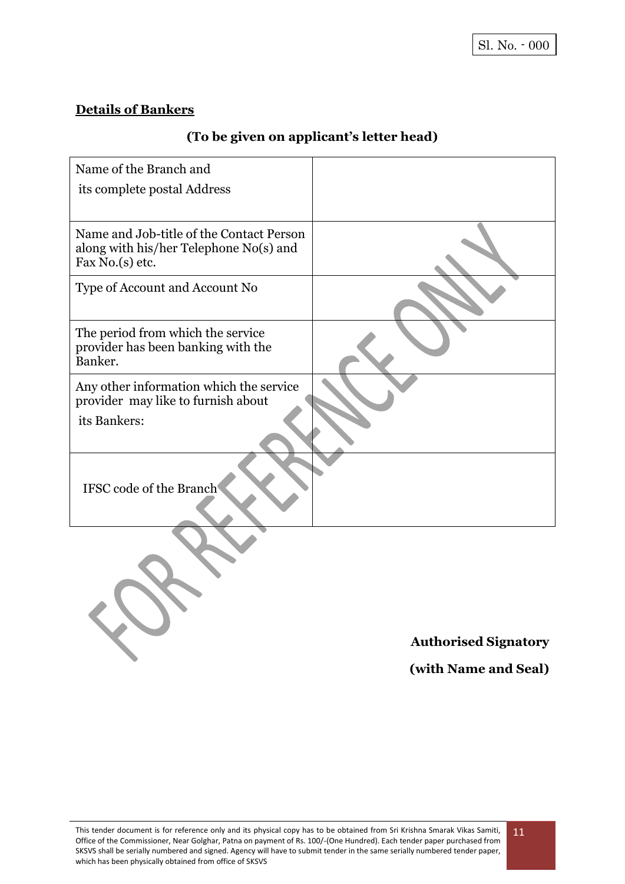## **Details of Bankers**

# **(To be given on applicant's letter head)**

| Name of the Branch and                   |                             |
|------------------------------------------|-----------------------------|
|                                          |                             |
| its complete postal Address              |                             |
|                                          |                             |
| Name and Job-title of the Contact Person |                             |
| along with his/her Telephone No(s) and   |                             |
| Fax No.(s) etc.                          |                             |
| Type of Account and Account No           |                             |
|                                          |                             |
| The period from which the service        |                             |
| provider has been banking with the       |                             |
| Banker.                                  |                             |
| Any other information which the service  |                             |
| provider may like to furnish about       |                             |
| its Bankers:                             |                             |
|                                          |                             |
|                                          |                             |
|                                          |                             |
| IFSC code of the Branch                  |                             |
|                                          |                             |
|                                          |                             |
|                                          |                             |
|                                          |                             |
|                                          |                             |
|                                          |                             |
|                                          |                             |
|                                          | <b>Authorised Signatory</b> |

**(with Name and Seal)**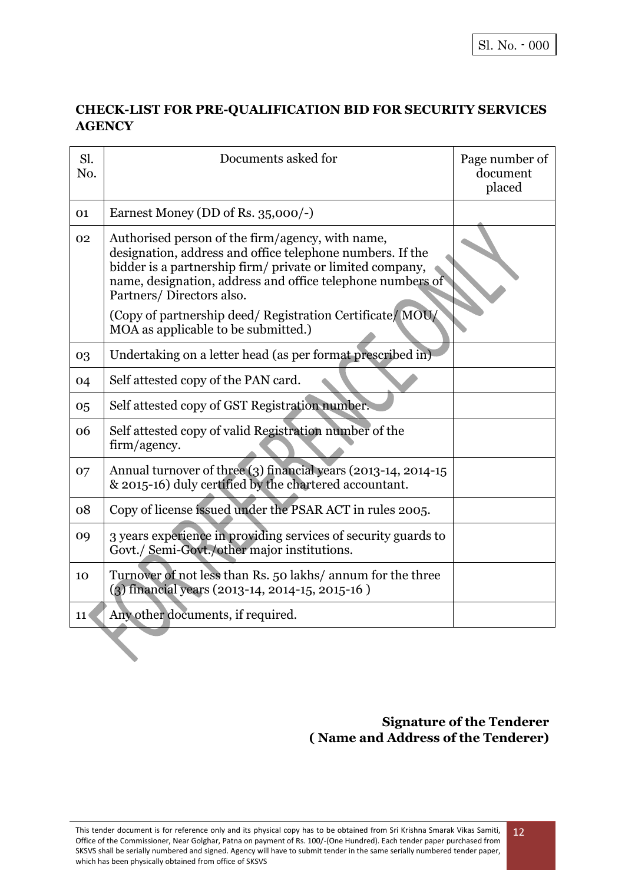## **CHECK-LIST FOR PRE-QUALIFICATION BID FOR SECURITY SERVICES AGENCY**

| Sl.<br>No. | Documents asked for                                                                                                                                                                                                                                                  | Page number of<br>document<br>placed |
|------------|----------------------------------------------------------------------------------------------------------------------------------------------------------------------------------------------------------------------------------------------------------------------|--------------------------------------|
| 01         | Earnest Money (DD of Rs. 35,000/-)                                                                                                                                                                                                                                   |                                      |
| 02         | Authorised person of the firm/agency, with name,<br>designation, address and office telephone numbers. If the<br>bidder is a partnership firm/ private or limited company,<br>name, designation, address and office telephone numbers of<br>Partners/Directors also. |                                      |
|            | (Copy of partnership deed/ Registration Certificate/ MOU/<br>MOA as applicable to be submitted.)                                                                                                                                                                     |                                      |
| 03         | Undertaking on a letter head (as per format prescribed in)                                                                                                                                                                                                           |                                      |
| 04         | Self attested copy of the PAN card.                                                                                                                                                                                                                                  |                                      |
| 05         | Self attested copy of GST Registration number.                                                                                                                                                                                                                       |                                      |
| 06         | Self attested copy of valid Registration number of the<br>firm/agency.                                                                                                                                                                                               |                                      |
| 07         | Annual turnover of three (3) financial years (2013-14, 2014-15<br>& 2015-16) duly certified by the chartered accountant.                                                                                                                                             |                                      |
| 08         | Copy of license issued under the PSAR ACT in rules 2005.                                                                                                                                                                                                             |                                      |
| 09         | 3 years experience in providing services of security guards to<br>Govt./ Semi-Govt./other major institutions.                                                                                                                                                        |                                      |
| 10         | Turnover of not less than Rs. 50 lakhs/ annum for the three<br>(3) financial years (2013-14, 2014-15, 2015-16)                                                                                                                                                       |                                      |
| 11         | Any other documents, if required.                                                                                                                                                                                                                                    |                                      |

## **Signature of the Tenderer ( Name and Address of the Tenderer)**